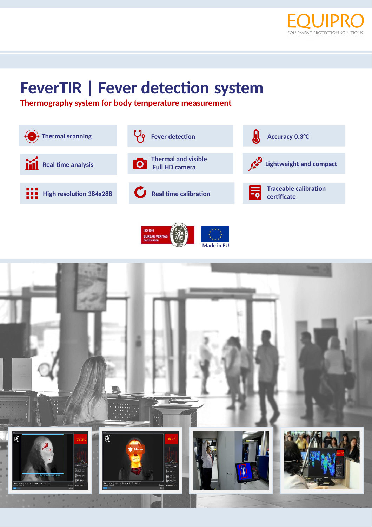

# **FeverTIR | Fever detection system**

**Thermography system for body temperature measurement**